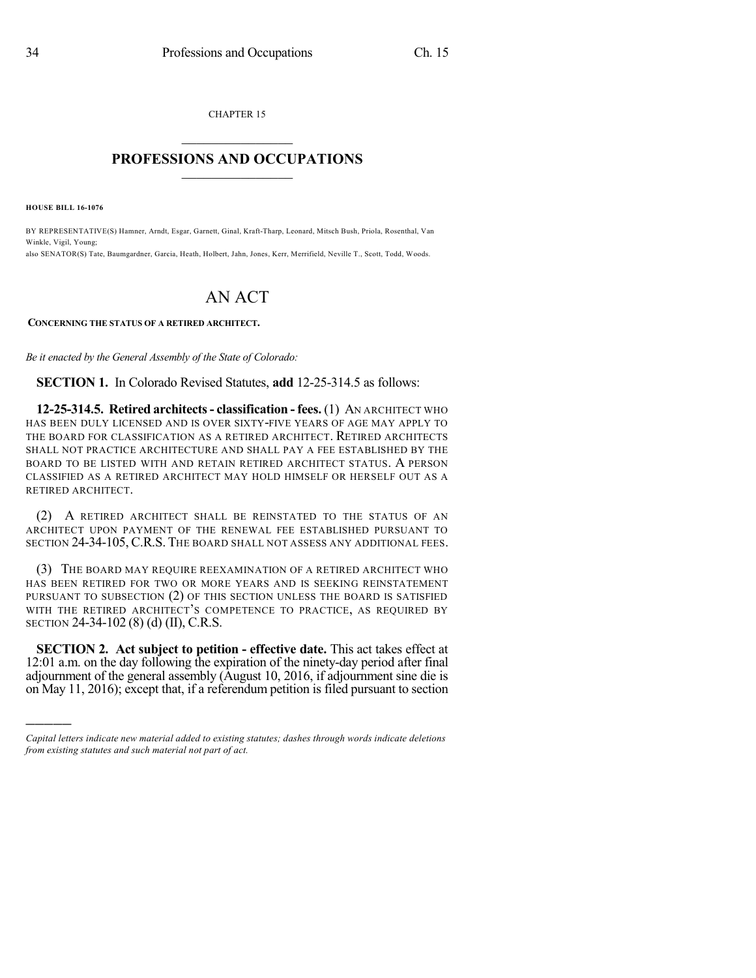CHAPTER 15

## $\overline{\phantom{a}}$  . The set of the set of the set of the set of the set of the set of the set of the set of the set of the set of the set of the set of the set of the set of the set of the set of the set of the set of the set o **PROFESSIONS AND OCCUPATIONS**  $\frac{1}{2}$  ,  $\frac{1}{2}$  ,  $\frac{1}{2}$  ,  $\frac{1}{2}$  ,  $\frac{1}{2}$  ,  $\frac{1}{2}$  ,  $\frac{1}{2}$

**HOUSE BILL 16-1076**

)))))

BY REPRESENTATIVE(S) Hamner, Arndt, Esgar, Garnett, Ginal, Kraft-Tharp, Leonard, Mitsch Bush, Priola, Rosenthal, Van Winkle, Vigil, Young; also SENATOR(S) Tate, Baumgardner, Garcia, Heath, Holbert, Jahn, Jones, Kerr, Merrifield, Neville T., Scott, Todd, Woods.

## AN ACT

## **CONCERNING THE STATUS OF A RETIRED ARCHITECT.**

*Be it enacted by the General Assembly of the State of Colorado:*

**SECTION 1.** In Colorado Revised Statutes, **add** 12-25-314.5 as follows:

**12-25-314.5. Retired architects- classification - fees.** (1) AN ARCHITECT WHO HAS BEEN DULY LICENSED AND IS OVER SIXTY-FIVE YEARS OF AGE MAY APPLY TO THE BOARD FOR CLASSIFICATION AS A RETIRED ARCHITECT. RETIRED ARCHITECTS SHALL NOT PRACTICE ARCHITECTURE AND SHALL PAY A FEE ESTABLISHED BY THE BOARD TO BE LISTED WITH AND RETAIN RETIRED ARCHITECT STATUS. A PERSON CLASSIFIED AS A RETIRED ARCHITECT MAY HOLD HIMSELF OR HERSELF OUT AS A RETIRED ARCHITECT.

(2) A RETIRED ARCHITECT SHALL BE REINSTATED TO THE STATUS OF AN ARCHITECT UPON PAYMENT OF THE RENEWAL FEE ESTABLISHED PURSUANT TO SECTION 24-34-105, C.R.S. THE BOARD SHALL NOT ASSESS ANY ADDITIONAL FEES.

(3) THE BOARD MAY REQUIRE REEXAMINATION OF A RETIRED ARCHITECT WHO HAS BEEN RETIRED FOR TWO OR MORE YEARS AND IS SEEKING REINSTATEMENT PURSUANT TO SUBSECTION (2) OF THIS SECTION UNLESS THE BOARD IS SATISFIED WITH THE RETIRED ARCHITECT'S COMPETENCE TO PRACTICE, AS REQUIRED BY SECTION 24-34-102 (8) (d) (II), C.R.S.

**SECTION 2. Act subject to petition - effective date.** This act takes effect at 12:01 a.m. on the day following the expiration of the ninety-day period after final adjournment of the general assembly (August 10, 2016, if adjournment sine die is on May 11, 2016); except that, if a referendum petition is filed pursuant to section

*Capital letters indicate new material added to existing statutes; dashes through words indicate deletions from existing statutes and such material not part of act.*